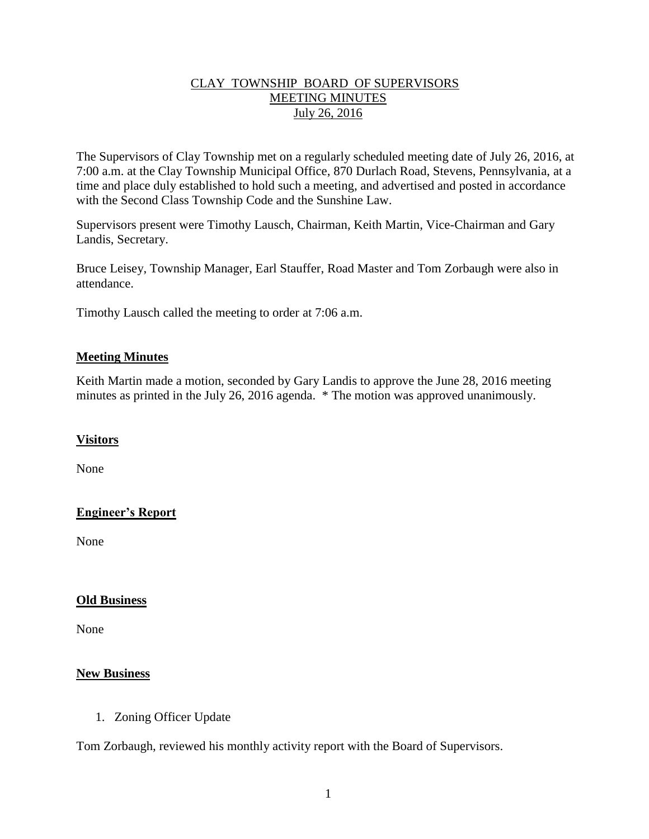## CLAY TOWNSHIP BOARD OF SUPERVISORS MEETING MINUTES July 26, 2016

The Supervisors of Clay Township met on a regularly scheduled meeting date of July 26, 2016, at 7:00 a.m. at the Clay Township Municipal Office, 870 Durlach Road, Stevens, Pennsylvania, at a time and place duly established to hold such a meeting, and advertised and posted in accordance with the Second Class Township Code and the Sunshine Law.

Supervisors present were Timothy Lausch, Chairman, Keith Martin, Vice-Chairman and Gary Landis, Secretary.

Bruce Leisey, Township Manager, Earl Stauffer, Road Master and Tom Zorbaugh were also in attendance.

Timothy Lausch called the meeting to order at 7:06 a.m.

## **Meeting Minutes**

Keith Martin made a motion, seconded by Gary Landis to approve the June 28, 2016 meeting minutes as printed in the July 26, 2016 agenda. \* The motion was approved unanimously.

#### **Visitors**

None

# **Engineer's Report**

None

#### **Old Business**

None

#### **New Business**

1. Zoning Officer Update

Tom Zorbaugh, reviewed his monthly activity report with the Board of Supervisors.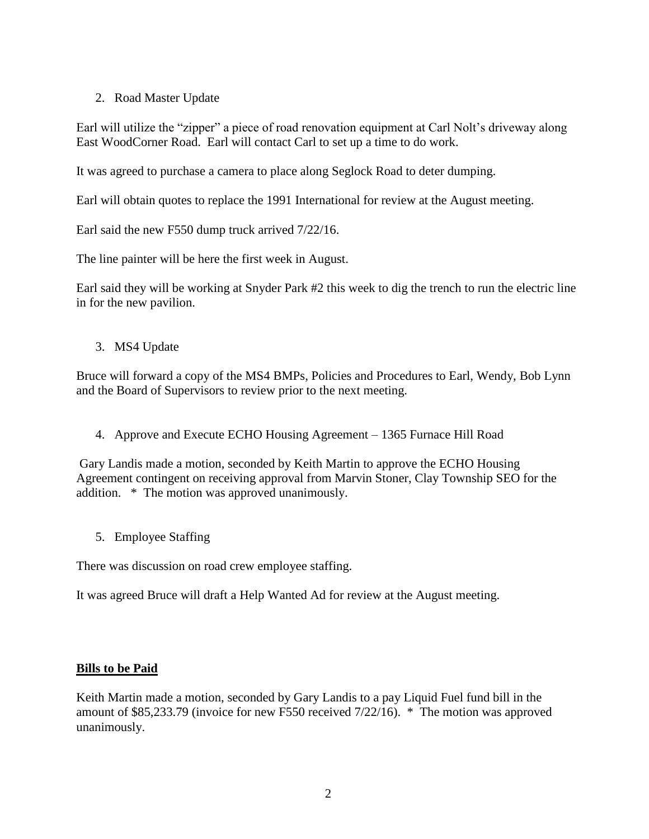# 2. Road Master Update

Earl will utilize the "zipper" a piece of road renovation equipment at Carl Nolt's driveway along East WoodCorner Road. Earl will contact Carl to set up a time to do work.

It was agreed to purchase a camera to place along Seglock Road to deter dumping.

Earl will obtain quotes to replace the 1991 International for review at the August meeting.

Earl said the new F550 dump truck arrived 7/22/16.

The line painter will be here the first week in August.

Earl said they will be working at Snyder Park #2 this week to dig the trench to run the electric line in for the new pavilion.

3. MS4 Update

Bruce will forward a copy of the MS4 BMPs, Policies and Procedures to Earl, Wendy, Bob Lynn and the Board of Supervisors to review prior to the next meeting.

4. Approve and Execute ECHO Housing Agreement – 1365 Furnace Hill Road

Gary Landis made a motion, seconded by Keith Martin to approve the ECHO Housing Agreement contingent on receiving approval from Marvin Stoner, Clay Township SEO for the addition. \* The motion was approved unanimously.

5. Employee Staffing

There was discussion on road crew employee staffing.

It was agreed Bruce will draft a Help Wanted Ad for review at the August meeting.

# **Bills to be Paid**

Keith Martin made a motion, seconded by Gary Landis to a pay Liquid Fuel fund bill in the amount of \$85,233.79 (invoice for new F550 received 7/22/16). \* The motion was approved unanimously.